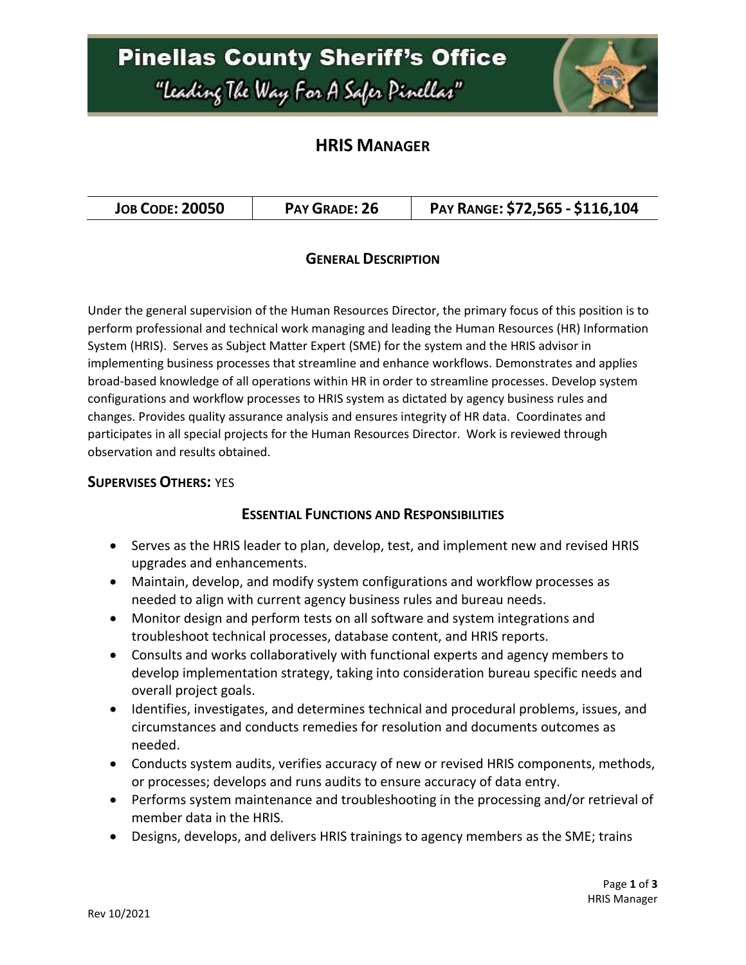## **Pinellas County Sheriff's Office** "Leading The Way For A Safer Pinellar"



### **HRIS MANAGER**

| PAY RANGE: \$72,565 - \$116,104<br><b>JOB CODE: 20050</b><br>PAY GRADE: 26 |  |
|----------------------------------------------------------------------------|--|
|----------------------------------------------------------------------------|--|

#### **GENERAL DESCRIPTION**

Under the general supervision of the Human Resources Director, the primary focus of this position is to perform professional and technical work managing and leading the Human Resources (HR) Information System (HRIS). Serves as Subject Matter Expert (SME) for the system and the HRIS advisor in implementing business processes that streamline and enhance workflows. Demonstrates and applies broad-based knowledge of all operations within HR in order to streamline processes. Develop system configurations and workflow processes to HRIS system as dictated by agency business rules and changes. Provides quality assurance analysis and ensures integrity of HR data. Coordinates and participates in all special projects for the Human Resources Director. Work is reviewed through observation and results obtained.

#### **SUPERVISES OTHERS:** YES

#### **ESSENTIAL FUNCTIONS AND RESPONSIBILITIES**

- Serves as the HRIS leader to plan, develop, test, and implement new and revised HRIS upgrades and enhancements.
- Maintain, develop, and modify system configurations and workflow processes as needed to align with current agency business rules and bureau needs.
- Monitor design and perform tests on all software and system integrations and troubleshoot technical processes, database content, and HRIS reports.
- Consults and works collaboratively with functional experts and agency members to develop implementation strategy, taking into consideration bureau specific needs and overall project goals.
- Identifies, investigates, and determines technical and procedural problems, issues, and circumstances and conducts remedies for resolution and documents outcomes as needed.
- Conducts system audits, verifies accuracy of new or revised HRIS components, methods, or processes; develops and runs audits to ensure accuracy of data entry.
- Performs system maintenance and troubleshooting in the processing and/or retrieval of member data in the HRIS.
- Designs, develops, and delivers HRIS trainings to agency members as the SME; trains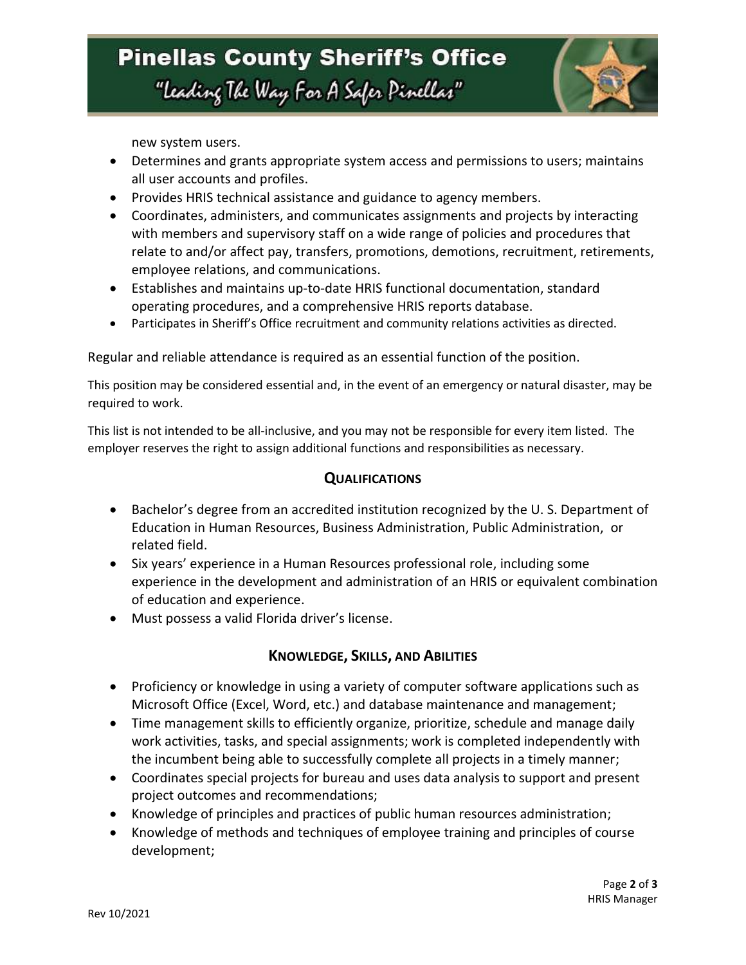

new system users.

- Determines and grants appropriate system access and permissions to users; maintains all user accounts and profiles.
- Provides HRIS technical assistance and guidance to agency members.
- Coordinates, administers, and communicates assignments and projects by interacting with members and supervisory staff on a wide range of policies and procedures that relate to and/or affect pay, transfers, promotions, demotions, recruitment, retirements, employee relations, and communications.
- Establishes and maintains up-to-date HRIS functional documentation, standard operating procedures, and a comprehensive HRIS reports database.
- Participates in Sheriff's Office recruitment and community relations activities as directed.

Regular and reliable attendance is required as an essential function of the position.

This position may be considered essential and, in the event of an emergency or natural disaster, may be required to work.

This list is not intended to be all-inclusive, and you may not be responsible for every item listed. The employer reserves the right to assign additional functions and responsibilities as necessary.

#### **QUALIFICATIONS**

- Bachelor's degree from an accredited institution recognized by the U.S. Department of Education in Human Resources, Business Administration, Public Administration, or related field.
- Six years' experience in a Human Resources professional role, including some experience in the development and administration of an HRIS or equivalent combination of education and experience.
- Must possess a valid Florida driver's license.

#### **KNOWLEDGE, SKILLS, AND ABILITIES**

- Proficiency or knowledge in using a variety of computer software applications such as Microsoft Office (Excel, Word, etc.) and database maintenance and management;
- Time management skills to efficiently organize, prioritize, schedule and manage daily work activities, tasks, and special assignments; work is completed independently with the incumbent being able to successfully complete all projects in a timely manner;
- Coordinates special projects for bureau and uses data analysis to support and present project outcomes and recommendations;
- Knowledge of principles and practices of public human resources administration;
- Knowledge of methods and techniques of employee training and principles of course development;